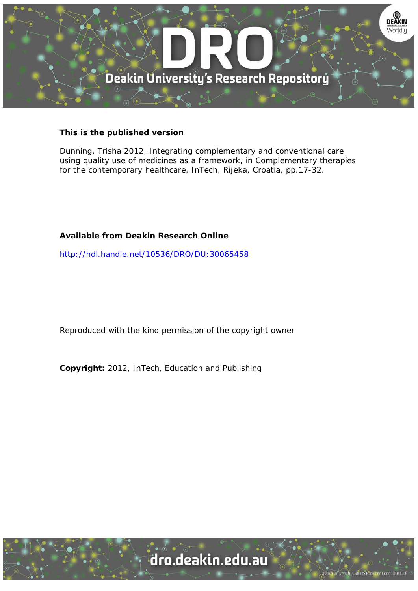

# **This is the published version**

Dunning, Trisha 2012, Integrating complementary and conventional care using quality use of medicines as a framework, in Complementary therapies for the contemporary healthcare, InTech, Rijeka, Croatia, pp.17-32.

# **Available from Deakin Research Online**

http://hdl.handle.net/10536/DRO/DU:30065458

Reproduced with the kind permission of the copyright owner

**Copyright:** 2012, InTech, Education and Publishing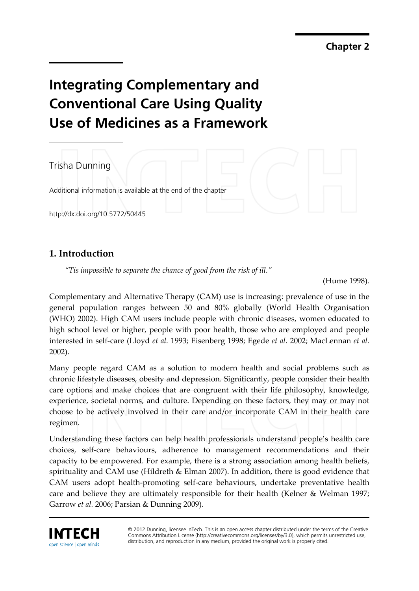# **Integrating Complementary and Conventional Care Using Quality Use of Medicines as a Framework**



## **1. Introduction**

*"Tis impossible to separate the chance of good from the risk of ill."* 

(Hume 1998).

Complementary and Alternative Therapy (CAM) use is increasing: prevalence of use in the general population ranges between 50 and 80% globally (World Health Organisation (WHO) 2002). High CAM users include people with chronic diseases, women educated to high school level or higher, people with poor health, those who are employed and people interested in self-care (Lloyd *et al.* 1993; Eisenberg 1998; Egede *et al.* 2002; MacLennan *et al.* 2002).

Many people regard CAM as a solution to modern health and social problems such as chronic lifestyle diseases, obesity and depression. Significantly, people consider their health care options and make choices that are congruent with their life philosophy, knowledge, experience, societal norms, and culture. Depending on these factors, they may or may not choose to be actively involved in their care and/or incorporate CAM in their health care regimen.

Understanding these factors can help health professionals understand people's health care choices, self-care behaviours, adherence to management recommendations and their capacity to be empowered. For example, there is a strong association among health beliefs, spirituality and CAM use (Hildreth & Elman 2007). In addition, there is good evidence that CAM users adopt health-promoting self-care behaviours, undertake preventative health care and believe they are ultimately responsible for their health (Kelner & Welman 1997; Garrow *et al.* 2006; Parsian & Dunning 2009).



© 2012 Dunning, licensee InTech. This is an open access chapter distributed under the terms of the Creative Commons Attribution License (http://creativecommons.org/licenses/by/3.0), which permits unrestricted use, distribution, and reproduction in any medium, provided the original work is properly cited.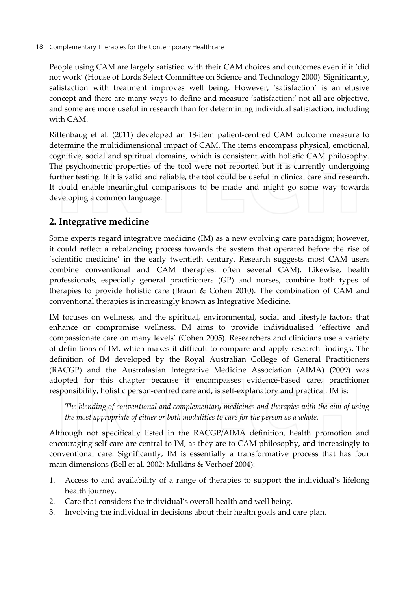People using CAM are largely satisfied with their CAM choices and outcomes even if it 'did not work' (House of Lords Select Committee on Science and Technology 2000). Significantly, satisfaction with treatment improves well being. However, 'satisfaction' is an elusive concept and there are many ways to define and measure 'satisfaction:' not all are objective, and some are more useful in research than for determining individual satisfaction, including with CAM.

Rittenbaug et al. (2011) developed an 18-item patient-centred CAM outcome measure to determine the multidimensional impact of CAM. The items encompass physical, emotional, cognitive, social and spiritual domains, which is consistent with holistic CAM philosophy. The psychometric properties of the tool were not reported but it is currently undergoing further testing. If it is valid and reliable, the tool could be useful in clinical care and research. It could enable meaningful comparisons to be made and might go some way towards developing a common language.

## **2. Integrative medicine**

Some experts regard integrative medicine (IM) as a new evolving care paradigm; however, it could reflect a rebalancing process towards the system that operated before the rise of 'scientific medicine' in the early twentieth century. Research suggests most CAM users combine conventional and CAM therapies: often several CAM). Likewise, health professionals, especially general practitioners (GP) and nurses, combine both types of therapies to provide holistic care (Braun & Cohen 2010). The combination of CAM and conventional therapies is increasingly known as Integrative Medicine.

IM focuses on wellness, and the spiritual, environmental, social and lifestyle factors that enhance or compromise wellness. IM aims to provide individualised 'effective and compassionate care on many levels' (Cohen 2005). Researchers and clinicians use a variety of definitions of IM, which makes it difficult to compare and apply research findings. The definition of IM developed by the Royal Australian College of General Practitioners (RACGP) and the Australasian Integrative Medicine Association (AIMA) (2009) was adopted for this chapter because it encompasses evidence-based care, practitioner responsibility, holistic person-centred care and, is self-explanatory and practical. IM is:

*The blending of conventional and complementary medicines and therapies with the aim of using the most appropriate of either or both modalities to care for the person as a whole.* 

Although not specifically listed in the RACGP/AIMA definition, health promotion and encouraging self-care are central to IM, as they are to CAM philosophy, and increasingly to conventional care. Significantly, IM is essentially a transformative process that has four main dimensions (Bell et al. 2002; Mulkins & Verhoef 2004):

- 1. Access to and availability of a range of therapies to support the individual's lifelong health journey.
- 2. Care that considers the individual's overall health and well being.
- 3. Involving the individual in decisions about their health goals and care plan.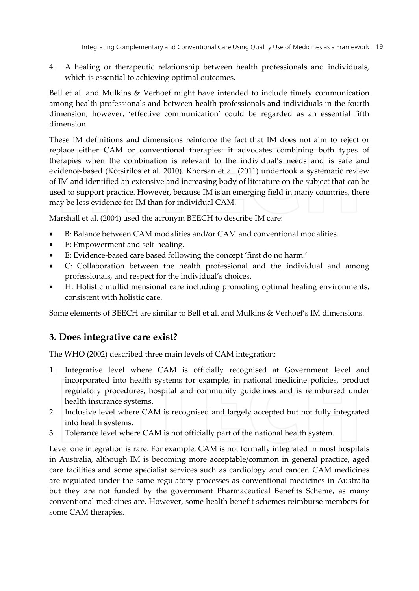4. A healing or therapeutic relationship between health professionals and individuals, which is essential to achieving optimal outcomes.

Bell et al. and Mulkins & Verhoef might have intended to include timely communication among health professionals and between health professionals and individuals in the fourth dimension; however, 'effective communication' could be regarded as an essential fifth dimension.

These IM definitions and dimensions reinforce the fact that IM does not aim to reject or replace either CAM or conventional therapies: it advocates combining both types of therapies when the combination is relevant to the individual's needs and is safe and evidence-based (Kotsirilos et al. 2010). Khorsan et al. (2011) undertook a systematic review of IM and identified an extensive and increasing body of literature on the subject that can be used to support practice. However, because IM is an emerging field in many countries, there may be less evidence for IM than for individual CAM.

Marshall et al. (2004) used the acronym BEECH to describe IM care:

- B: Balance between CAM modalities and/or CAM and conventional modalities.
- E: Empowerment and self-healing.
- E: Evidence-based care based following the concept 'first do no harm.'
- C: Collaboration between the health professional and the individual and among professionals, and respect for the individual's choices.
- H: Holistic multidimensional care including promoting optimal healing environments, consistent with holistic care.

Some elements of BEECH are similar to Bell et al. and Mulkins & Verhoef's IM dimensions.

## **3. Does integrative care exist?**

The WHO (2002) described three main levels of CAM integration:

- 1. Integrative level where CAM is officially recognised at Government level and incorporated into health systems for example, in national medicine policies, product regulatory procedures, hospital and community guidelines and is reimbursed under health insurance systems.
- 2. Inclusive level where CAM is recognised and largely accepted but not fully integrated into health systems.
- 3. Tolerance level where CAM is not officially part of the national health system.

Level one integration is rare. For example, CAM is not formally integrated in most hospitals in Australia, although IM is becoming more acceptable/common in general practice, aged care facilities and some specialist services such as cardiology and cancer. CAM medicines are regulated under the same regulatory processes as conventional medicines in Australia but they are not funded by the government Pharmaceutical Benefits Scheme, as many conventional medicines are. However, some health benefit schemes reimburse members for some CAM therapies.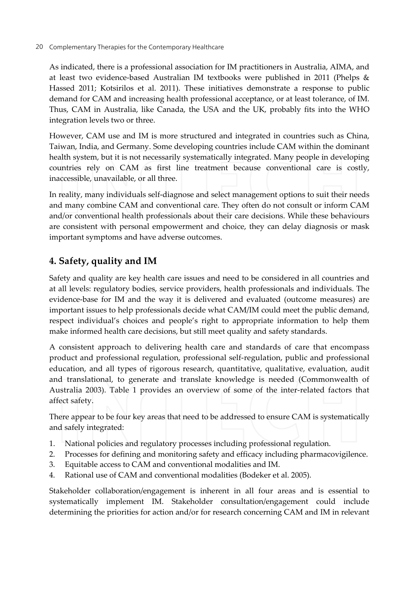As indicated, there is a professional association for IM practitioners in Australia, AIMA, and at least two evidence-based Australian IM textbooks were published in 2011 (Phelps & Hassed 2011; Kotsirilos et al. 2011). These initiatives demonstrate a response to public demand for CAM and increasing health professional acceptance, or at least tolerance, of IM. Thus, CAM in Australia, like Canada, the USA and the UK, probably fits into the WHO integration levels two or three.

However, CAM use and IM is more structured and integrated in countries such as China, Taiwan, India, and Germany. Some developing countries include CAM within the dominant health system, but it is not necessarily systematically integrated. Many people in developing countries rely on CAM as first line treatment because conventional care is costly, inaccessible, unavailable, or all three.

In reality, many individuals self-diagnose and select management options to suit their needs and many combine CAM and conventional care. They often do not consult or inform CAM and/or conventional health professionals about their care decisions. While these behaviours are consistent with personal empowerment and choice, they can delay diagnosis or mask important symptoms and have adverse outcomes.

# **4. Safety, quality and IM**

Safety and quality are key health care issues and need to be considered in all countries and at all levels: regulatory bodies, service providers, health professionals and individuals. The evidence-base for IM and the way it is delivered and evaluated (outcome measures) are important issues to help professionals decide what CAM/IM could meet the public demand, respect individual's choices and people's right to appropriate information to help them make informed health care decisions, but still meet quality and safety standards.

A consistent approach to delivering health care and standards of care that encompass product and professional regulation, professional self-regulation, public and professional education, and all types of rigorous research, quantitative, qualitative, evaluation, audit and translational, to generate and translate knowledge is needed (Commonwealth of Australia 2003). Table 1 provides an overview of some of the inter-related factors that affect safety.

There appear to be four key areas that need to be addressed to ensure CAM is systematically and safely integrated:

- 1. National policies and regulatory processes including professional regulation.
- 2. Processes for defining and monitoring safety and efficacy including pharmacovigilence.
- 3. Equitable access to CAM and conventional modalities and IM.
- 4. Rational use of CAM and conventional modalities (Bodeker et al. 2005).

Stakeholder collaboration/engagement is inherent in all four areas and is essential to systematically implement IM. Stakeholder consultation/engagement could include determining the priorities for action and/or for research concerning CAM and IM in relevant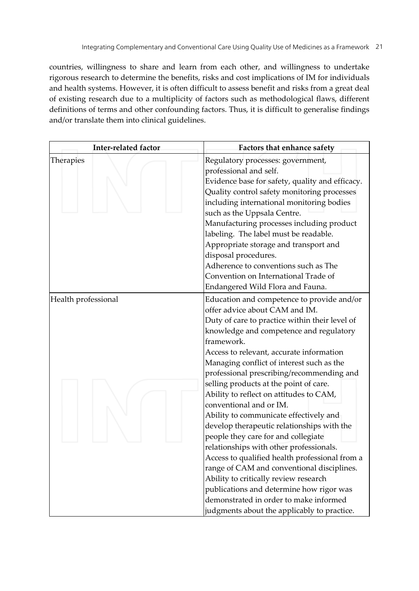countries, willingness to share and learn from each other, and willingness to undertake rigorous research to determine the benefits, risks and cost implications of IM for individuals and health systems. However, it is often difficult to assess benefit and risks from a great deal of existing research due to a multiplicity of factors such as methodological flaws, different definitions of terms and other confounding factors. Thus, it is difficult to generalise findings and/or translate them into clinical guidelines.

| Inter-related factor | Factors that enhance safety                                                                                                                                                                                                                                                                                                                                                                                                                                                                                                                                                                                                                                                                                                                                                                                                                                                                           |
|----------------------|-------------------------------------------------------------------------------------------------------------------------------------------------------------------------------------------------------------------------------------------------------------------------------------------------------------------------------------------------------------------------------------------------------------------------------------------------------------------------------------------------------------------------------------------------------------------------------------------------------------------------------------------------------------------------------------------------------------------------------------------------------------------------------------------------------------------------------------------------------------------------------------------------------|
| Therapies            | Regulatory processes: government,<br>professional and self.<br>Evidence base for safety, quality and efficacy.<br>Quality control safety monitoring processes<br>including international monitoring bodies<br>such as the Uppsala Centre.<br>Manufacturing processes including product<br>labeling. The label must be readable.<br>Appropriate storage and transport and<br>disposal procedures.<br>Adherence to conventions such as The<br>Convention on International Trade of<br>Endangered Wild Flora and Fauna.                                                                                                                                                                                                                                                                                                                                                                                  |
| Health professional  | Education and competence to provide and/or<br>offer advice about CAM and IM.<br>Duty of care to practice within their level of<br>knowledge and competence and regulatory<br>framework.<br>Access to relevant, accurate information<br>Managing conflict of interest such as the<br>professional prescribing/recommending and<br>selling products at the point of care.<br>Ability to reflect on attitudes to CAM,<br>conventional and or IM.<br>Ability to communicate effectively and<br>develop therapeutic relationships with the<br>people they care for and collegiate<br>relationships with other professionals.<br>Access to qualified health professional from a<br>range of CAM and conventional disciplines.<br>Ability to critically review research<br>publications and determine how rigor was<br>demonstrated in order to make informed<br>judgments about the applicably to practice. |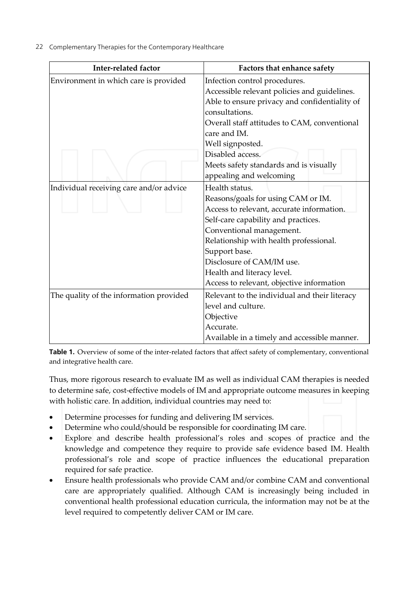| Inter-related factor                    | Factors that enhance safety                   |
|-----------------------------------------|-----------------------------------------------|
| Environment in which care is provided   | Infection control procedures.                 |
|                                         | Accessible relevant policies and guidelines.  |
|                                         | Able to ensure privacy and confidentiality of |
|                                         | consultations.                                |
|                                         | Overall staff attitudes to CAM, conventional  |
|                                         | care and IM.                                  |
|                                         | Well signposted.                              |
|                                         | Disabled access.                              |
|                                         | Meets safety standards and is visually        |
|                                         | appealing and welcoming                       |
| Individual receiving care and/or advice | Health status.                                |
|                                         | Reasons/goals for using CAM or IM.            |
|                                         | Access to relevant, accurate information.     |
|                                         | Self-care capability and practices.           |
|                                         | Conventional management.                      |
|                                         | Relationship with health professional.        |
|                                         | Support base.                                 |
|                                         | Disclosure of CAM/IM use.                     |
|                                         | Health and literacy level.                    |
|                                         | Access to relevant, objective information     |
| The quality of the information provided | Relevant to the individual and their literacy |
|                                         | level and culture.                            |
|                                         | Objective                                     |
|                                         | Accurate.                                     |
|                                         | Available in a timely and accessible manner.  |

Table 1. Overview of some of the inter-related factors that affect safety of complementary, conventional and integrative health care.

Thus, more rigorous research to evaluate IM as well as individual CAM therapies is needed to determine safe, cost-effective models of IM and appropriate outcome measures in keeping with holistic care. In addition, individual countries may need to:

- Determine processes for funding and delivering IM services.
- Determine who could/should be responsible for coordinating IM care.
- Explore and describe health professional's roles and scopes of practice and the knowledge and competence they require to provide safe evidence based IM. Health professional's role and scope of practice influences the educational preparation required for safe practice.
- Ensure health professionals who provide CAM and/or combine CAM and conventional care are appropriately qualified. Although CAM is increasingly being included in conventional health professional education curricula, the information may not be at the level required to competently deliver CAM or IM care.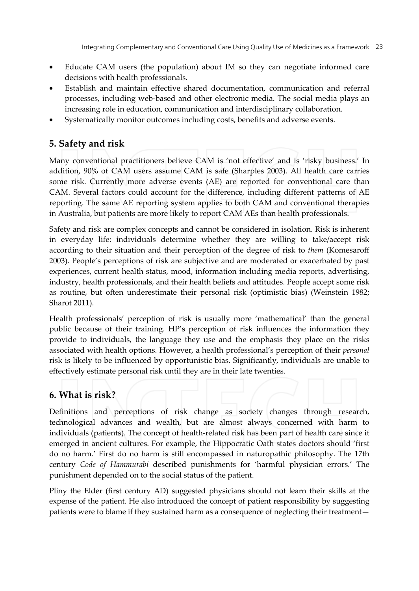- Educate CAM users (the population) about IM so they can negotiate informed care decisions with health professionals.
- Establish and maintain effective shared documentation, communication and referral processes, including web-based and other electronic media. The social media plays an increasing role in education, communication and interdisciplinary collaboration.
- Systematically monitor outcomes including costs, benefits and adverse events.

# **5. Safety and risk**

Many conventional practitioners believe CAM is 'not effective' and is 'risky business.' In addition, 90% of CAM users assume CAM is safe (Sharples 2003). All health care carries some risk. Currently more adverse events (AE) are reported for conventional care than CAM. Several factors could account for the difference, including different patterns of AE reporting. The same AE reporting system applies to both CAM and conventional therapies in Australia, but patients are more likely to report CAM AEs than health professionals.

Safety and risk are complex concepts and cannot be considered in isolation. Risk is inherent in everyday life: individuals determine whether they are willing to take/accept risk according to their situation and their perception of the degree of risk to *them* (Komesaroff 2003). People's perceptions of risk are subjective and are moderated or exacerbated by past experiences, current health status, mood, information including media reports, advertising, industry, health professionals, and their health beliefs and attitudes. People accept some risk as routine, but often underestimate their personal risk (optimistic bias) (Weinstein 1982; Sharot 2011).

Health professionals' perception of risk is usually more 'mathematical' than the general public because of their training. HP's perception of risk influences the information they provide to individuals, the language they use and the emphasis they place on the risks associated with health options. However, a health professional's perception of their *personal* risk is likely to be influenced by opportunistic bias. Significantly, individuals are unable to effectively estimate personal risk until they are in their late twenties.

## **6. What is risk?**

Definitions and perceptions of risk change as society changes through research, technological advances and wealth, but are almost always concerned with harm to individuals (patients). The concept of health-related risk has been part of health care since it emerged in ancient cultures. For example, the Hippocratic Oath states doctors should 'first do no harm.' First do no harm is still encompassed in naturopathic philosophy. The 17th century *Code of Hammurabi* described punishments for 'harmful physician errors.' The punishment depended on to the social status of the patient.

Pliny the Elder (first century AD) suggested physicians should not learn their skills at the expense of the patient. He also introduced the concept of patient responsibility by suggesting patients were to blame if they sustained harm as a consequence of neglecting their treatment—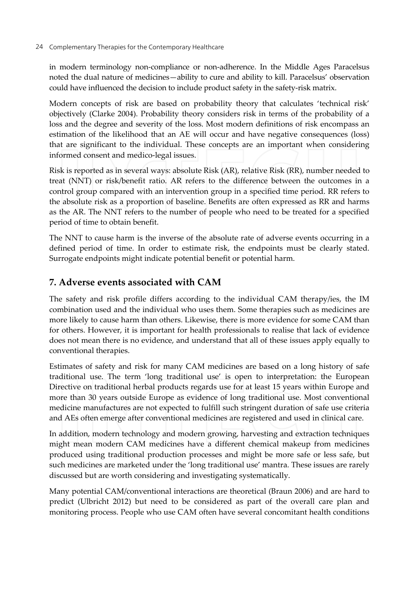in modern terminology non-compliance or non-adherence. In the Middle Ages Paracelsus noted the dual nature of medicines—ability to cure and ability to kill. Paracelsus' observation could have influenced the decision to include product safety in the safety-risk matrix.

Modern concepts of risk are based on probability theory that calculates 'technical risk' objectively (Clarke 2004). Probability theory considers risk in terms of the probability of a loss and the degree and severity of the loss. Most modern definitions of risk encompass an estimation of the likelihood that an AE will occur and have negative consequences (loss) that are significant to the individual. These concepts are an important when considering informed consent and medico-legal issues.

Risk is reported as in several ways: absolute Risk (AR), relative Risk (RR), number needed to treat (NNT) or risk/benefit ratio. AR refers to the difference between the outcomes in a control group compared with an intervention group in a specified time period. RR refers to the absolute risk as a proportion of baseline. Benefits are often expressed as RR and harms as the AR. The NNT refers to the number of people who need to be treated for a specified period of time to obtain benefit.

The NNT to cause harm is the inverse of the absolute rate of adverse events occurring in a defined period of time. In order to estimate risk, the endpoints must be clearly stated. Surrogate endpoints might indicate potential benefit or potential harm.

## **7. Adverse events associated with CAM**

The safety and risk profile differs according to the individual CAM therapy/ies, the IM combination used and the individual who uses them. Some therapies such as medicines are more likely to cause harm than others. Likewise, there is more evidence for some CAM than for others. However, it is important for health professionals to realise that lack of evidence does not mean there is no evidence, and understand that all of these issues apply equally to conventional therapies.

Estimates of safety and risk for many CAM medicines are based on a long history of safe traditional use. The term 'long traditional use' is open to interpretation: the European Directive on traditional herbal products regards use for at least 15 years within Europe and more than 30 years outside Europe as evidence of long traditional use. Most conventional medicine manufactures are not expected to fulfill such stringent duration of safe use criteria and AEs often emerge after conventional medicines are registered and used in clinical care.

In addition, modern technology and modern growing, harvesting and extraction techniques might mean modern CAM medicines have a different chemical makeup from medicines produced using traditional production processes and might be more safe or less safe, but such medicines are marketed under the 'long traditional use' mantra. These issues are rarely discussed but are worth considering and investigating systematically.

Many potential CAM/conventional interactions are theoretical (Braun 2006) and are hard to predict (Ulbricht 2012) but need to be considered as part of the overall care plan and monitoring process. People who use CAM often have several concomitant health conditions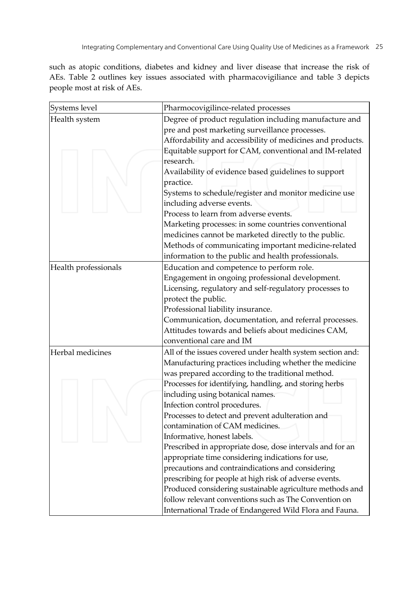such as atopic conditions, diabetes and kidney and liver disease that increase the risk of AEs. Table 2 outlines key issues associated with pharmacovigiliance and table 3 depicts people most at risk of AEs.

| Systems level        | Pharmocovigilince-related processes                                                                                                                                                                                                                                                                                                                                                                                                                                                                                                                                                                                                                                                                                                                                                                                                             |
|----------------------|-------------------------------------------------------------------------------------------------------------------------------------------------------------------------------------------------------------------------------------------------------------------------------------------------------------------------------------------------------------------------------------------------------------------------------------------------------------------------------------------------------------------------------------------------------------------------------------------------------------------------------------------------------------------------------------------------------------------------------------------------------------------------------------------------------------------------------------------------|
| Health system        | Degree of product regulation including manufacture and<br>pre and post marketing surveillance processes.<br>Affordability and accessibility of medicines and products.<br>Equitable support for CAM, conventional and IM-related<br>research.<br>Availability of evidence based guidelines to support                                                                                                                                                                                                                                                                                                                                                                                                                                                                                                                                           |
|                      | practice.<br>Systems to schedule/register and monitor medicine use<br>including adverse events.<br>Process to learn from adverse events.<br>Marketing processes: in some countries conventional<br>medicines cannot be marketed directly to the public.<br>Methods of communicating important medicine-related<br>information to the public and health professionals.                                                                                                                                                                                                                                                                                                                                                                                                                                                                           |
| Health professionals | Education and competence to perform role.<br>Engagement in ongoing professional development.<br>Licensing, regulatory and self-regulatory processes to<br>protect the public.<br>Professional liability insurance.<br>Communication, documentation, and referral processes.<br>Attitudes towards and beliefs about medicines CAM,<br>conventional care and IM                                                                                                                                                                                                                                                                                                                                                                                                                                                                                   |
| Herbal medicines     | All of the issues covered under health system section and:<br>Manufacturing practices including whether the medicine<br>was prepared according to the traditional method.<br>Processes for identifying, handling, and storing herbs<br>including using botanical names.<br>Infection control procedures.<br>Processes to detect and prevent adulteration and<br>contamination of CAM medicines.<br>Informative, honest labels.<br>Prescribed in appropriate dose, dose intervals and for an<br>appropriate time considering indications for use,<br>precautions and contraindications and considering<br>prescribing for people at high risk of adverse events.<br>Produced considering sustainable agriculture methods and<br>follow relevant conventions such as The Convention on<br>International Trade of Endangered Wild Flora and Fauna. |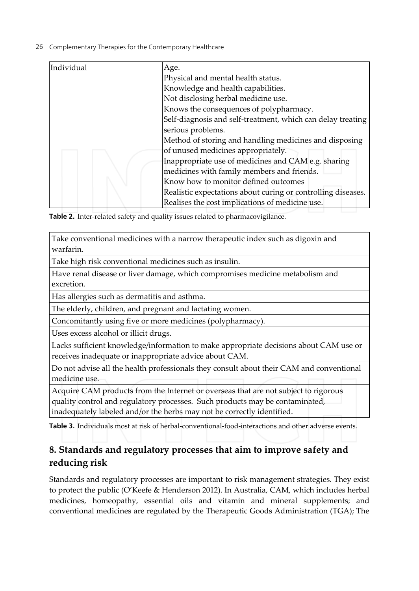| Individual | Age.                                                         |
|------------|--------------------------------------------------------------|
|            | Physical and mental health status.                           |
|            | Knowledge and health capabilities.                           |
|            | Not disclosing herbal medicine use.                          |
|            | Knows the consequences of polypharmacy.                      |
|            | Self-diagnosis and self-treatment, which can delay treating  |
|            | serious problems.                                            |
|            | Method of storing and handling medicines and disposing       |
|            | of unused medicines appropriately.                           |
|            | Inappropriate use of medicines and CAM e.g. sharing          |
|            | medicines with family members and friends.                   |
|            | Know how to monitor defined outcomes                         |
|            | Realistic expectations about curing or controlling diseases. |
|            | Realises the cost implications of medicine use.              |

**Table 2.** Inter-related safety and quality issues related to pharmacovigilance.

Take conventional medicines with a narrow therapeutic index such as digoxin and warfarin.

Take high risk conventional medicines such as insulin.

Have renal disease or liver damage, which compromises medicine metabolism and excretion.

Has allergies such as dermatitis and asthma.

The elderly, children, and pregnant and lactating women.

Concomitantly using five or more medicines (polypharmacy).

Uses excess alcohol or illicit drugs.

Lacks sufficient knowledge/information to make appropriate decisions about CAM use or receives inadequate or inappropriate advice about CAM.

Do not advise all the health professionals they consult about their CAM and conventional medicine use.

Acquire CAM products from the Internet or overseas that are not subject to rigorous quality control and regulatory processes. Such products may be contaminated, inadequately labeled and/or the herbs may not be correctly identified.

**Table 3.** Individuals most at risk of herbal-conventional-food-interactions and other adverse events.

# **8. Standards and regulatory processes that aim to improve safety and reducing risk**

Standards and regulatory processes are important to risk management strategies. They exist to protect the public (O'Keefe & Henderson 2012). In Australia, CAM, which includes herbal medicines, homeopathy, essential oils and vitamin and mineral supplements; and conventional medicines are regulated by the Therapeutic Goods Administration (TGA); The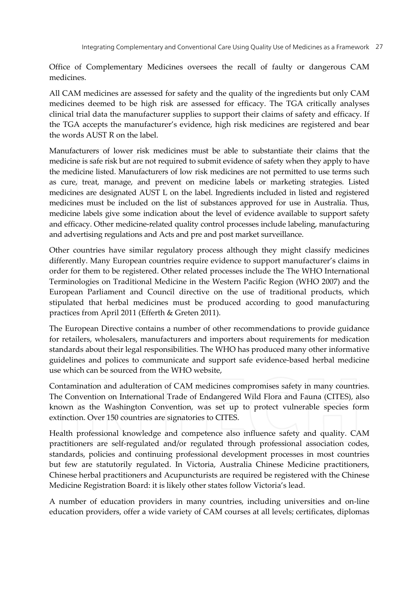Office of Complementary Medicines oversees the recall of faulty or dangerous CAM medicines.

All CAM medicines are assessed for safety and the quality of the ingredients but only CAM medicines deemed to be high risk are assessed for efficacy. The TGA critically analyses clinical trial data the manufacturer supplies to support their claims of safety and efficacy. If the TGA accepts the manufacturer's evidence, high risk medicines are registered and bear the words AUST R on the label.

Manufacturers of lower risk medicines must be able to substantiate their claims that the medicine is safe risk but are not required to submit evidence of safety when they apply to have the medicine listed. Manufacturers of low risk medicines are not permitted to use terms such as cure, treat, manage, and prevent on medicine labels or marketing strategies. Listed medicines are designated AUST L on the label. Ingredients included in listed and registered medicines must be included on the list of substances approved for use in Australia. Thus, medicine labels give some indication about the level of evidence available to support safety and efficacy. Other medicine-related quality control processes include labeling, manufacturing and advertising regulations and Acts and pre and post market surveillance.

Other countries have similar regulatory process although they might classify medicines differently. Many European countries require evidence to support manufacturer's claims in order for them to be registered. Other related processes include the The WHO International Terminologies on Traditional Medicine in the Western Pacific Region (WHO 2007) and the European Parliament and Council directive on the use of traditional products, which stipulated that herbal medicines must be produced according to good manufacturing practices from April 2011 (Efferth & Greten 2011).

The European Directive contains a number of other recommendations to provide guidance for retailers, wholesalers, manufacturers and importers about requirements for medication standards about their legal responsibilities. The WHO has produced many other informative guidelines and polices to communicate and support safe evidence-based herbal medicine use which can be sourced from the WHO website,

Contamination and adulteration of CAM medicines compromises safety in many countries. The Convention on International Trade of Endangered Wild Flora and Fauna (CITES), also known as the Washington Convention, was set up to protect vulnerable species form extinction. Over 150 countries are signatories to CITES.

Health professional knowledge and competence also influence safety and quality. CAM practitioners are self-regulated and/or regulated through professional association codes, standards, policies and continuing professional development processes in most countries but few are statutorily regulated. In Victoria, Australia Chinese Medicine practitioners, Chinese herbal practitioners and Acupuncturists are required be registered with the Chinese Medicine Registration Board: it is likely other states follow Victoria's lead.

A number of education providers in many countries, including universities and on-line education providers, offer a wide variety of CAM courses at all levels; certificates, diplomas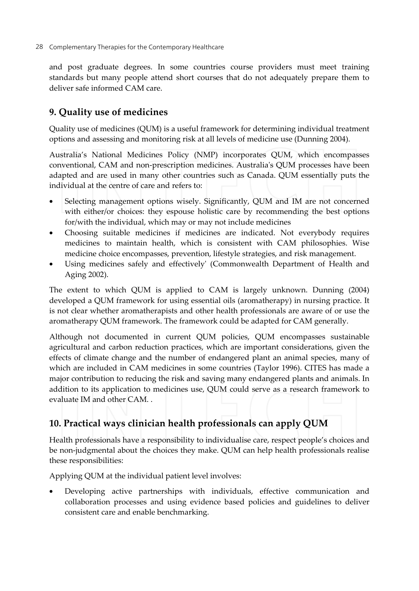and post graduate degrees. In some countries course providers must meet training standards but many people attend short courses that do not adequately prepare them to deliver safe informed CAM care.

# **9. Quality use of medicines**

Quality use of medicines (QUM) is a useful framework for determining individual treatment options and assessing and monitoring risk at all levels of medicine use (Dunning 2004).

Australia's National Medicines Policy (NMP) incorporates QUM, which encompasses conventional, CAM and non-prescription medicines. Australia's QUM processes have been adapted and are used in many other countries such as Canada. QUM essentially puts the individual at the centre of care and refers to:

- Selecting management options wisely. Significantly, QUM and IM are not concerned with either/or choices: they espouse holistic care by recommending the best options for/with the individual, which may or may not include medicines
- Choosing suitable medicines if medicines are indicated. Not everybody requires medicines to maintain health, which is consistent with CAM philosophies. Wise medicine choice encompasses, prevention, lifestyle strategies, and risk management.
- Using medicines safely and effectively' (Commonwealth Department of Health and Aging 2002).

The extent to which QUM is applied to CAM is largely unknown. Dunning (2004) developed a QUM framework for using essential oils (aromatherapy) in nursing practice. It is not clear whether aromatherapists and other health professionals are aware of or use the aromatherapy QUM framework. The framework could be adapted for CAM generally.

Although not documented in current QUM policies, QUM encompasses sustainable agricultural and carbon reduction practices, which are important considerations, given the effects of climate change and the number of endangered plant an animal species, many of which are included in CAM medicines in some countries (Taylor 1996). CITES has made a major contribution to reducing the risk and saving many endangered plants and animals. In addition to its application to medicines use, QUM could serve as a research framework to evaluate IM and other CAM. .

# **10. Practical ways clinician health professionals can apply QUM**

Health professionals have a responsibility to individualise care, respect people's choices and be non-judgmental about the choices they make. QUM can help health professionals realise these responsibilities:

Applying QUM at the individual patient level involves:

• Developing active partnerships with individuals, effective communication and collaboration processes and using evidence based policies and guidelines to deliver consistent care and enable benchmarking.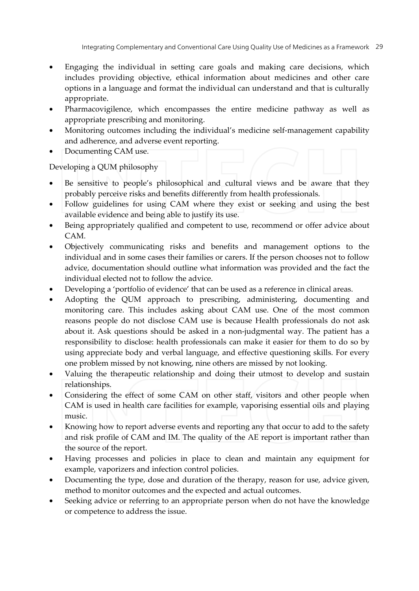- Engaging the individual in setting care goals and making care decisions, which includes providing objective, ethical information about medicines and other care options in a language and format the individual can understand and that is culturally appropriate.
- Pharmacovigilence, which encompasses the entire medicine pathway as well as appropriate prescribing and monitoring.
- Monitoring outcomes including the individual's medicine self-management capability and adherence, and adverse event reporting.
- Documenting CAM use.

Developing a QUM philosophy

- Be sensitive to people's philosophical and cultural views and be aware that they probably perceive risks and benefits differently from health professionals.
- Follow guidelines for using CAM where they exist or seeking and using the best available evidence and being able to justify its use.
- Being appropriately qualified and competent to use, recommend or offer advice about CAM.
- Objectively communicating risks and benefits and management options to the individual and in some cases their families or carers. If the person chooses not to follow advice, documentation should outline what information was provided and the fact the individual elected not to follow the advice.
- Developing a 'portfolio of evidence' that can be used as a reference in clinical areas.
- Adopting the QUM approach to prescribing, administering, documenting and monitoring care. This includes asking about CAM use. One of the most common reasons people do not disclose CAM use is because Health professionals do not ask about it. Ask questions should be asked in a non-judgmental way. The patient has a responsibility to disclose: health professionals can make it easier for them to do so by using appreciate body and verbal language, and effective questioning skills. For every one problem missed by not knowing, nine others are missed by not looking.
- Valuing the therapeutic relationship and doing their utmost to develop and sustain relationships.
- Considering the effect of some CAM on other staff, visitors and other people when CAM is used in health care facilities for example, vaporising essential oils and playing music.
- Knowing how to report adverse events and reporting any that occur to add to the safety and risk profile of CAM and IM. The quality of the AE report is important rather than the source of the report.
- Having processes and policies in place to clean and maintain any equipment for example, vaporizers and infection control policies.
- Documenting the type, dose and duration of the therapy, reason for use, advice given, method to monitor outcomes and the expected and actual outcomes.
- Seeking advice or referring to an appropriate person when do not have the knowledge or competence to address the issue.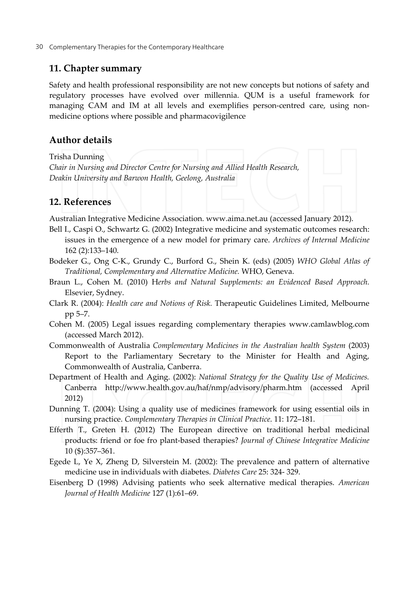#### **11. Chapter summary**

Safety and health professional responsibility are not new concepts but notions of safety and regulatory processes have evolved over millennia. QUM is a useful framework for managing CAM and IM at all levels and exemplifies person-centred care, using nonmedicine options where possible and pharmacovigilence

#### **Author details**

Trisha Dunning *Chair in Nursing and Director Centre for Nursing and Allied Health Research, Deakin University and Barwon Health, Geelong, Australia* 

#### **12. References**

Australian Integrative Medicine Association. www.aima.net.au (accessed January 2012).

- Bell I., Caspi O., Schwartz G. (2002) Integrative medicine and systematic outcomes research: issues in the emergence of a new model for primary care. *Archives of Internal Medicine*  162 (2):133–140.
- Bodeker G., Ong C-K., Grundy C., Burford G., Shein K. (eds) (2005) *WHO Global Atlas of Traditional, Complementary and Alternative Medicine.* WHO, Geneva.
- Braun L., Cohen M. (2010) H*erbs and Natural Supplements: an Evidenced Based Approach.*  Elsevier, Sydney.
- Clark R. (2004): *Health care and Notions of Risk.* Therapeutic Guidelines Limited, Melbourne pp 5–7.
- Cohen M. (2005) Legal issues regarding complementary therapies www.camlawblog.com (accessed March 2012).
- Commonwealth of Australia *Complementary Medicines in the Australian health System* (2003) Report to the Parliamentary Secretary to the Minister for Health and Aging, Commonwealth of Australia, Canberra.
- Department of Health and Aging. (2002): *National Strategy for the Quality Use of Medicines.*  Canberra http://www.health.gov.au/haf/nmp/advisory/pharm.htm (accessed April 2012)
- Dunning T. (2004): Using a quality use of medicines framework for using essential oils in nursing practice. *Complementary Therapies in Clinical Practice*. 11: 172–181.
- Efferth T., Greten H. (2012) The European directive on traditional herbal medicinal products: friend or foe fro plant-based therapies? *Journal of Chinese Integrative Medicine*  10 (\$):357–361.
- Egede L, Ye X, Zheng D, Silverstein M. (2002): The prevalence and pattern of alternative medicine use in individuals with diabetes. *Diabetes Care* 25: 324- 329.
- Eisenberg D (1998) Advising patients who seek alternative medical therapies. *American Journal of Health Medicine* 127 (1):61–69.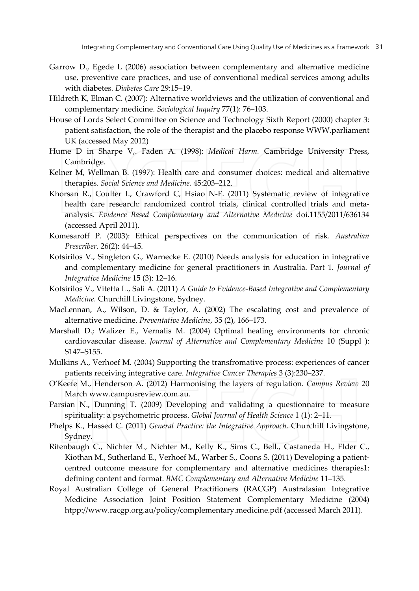- Garrow D., Egede L (2006) association between complementary and alternative medicine use, preventive care practices, and use of conventional medical services among adults with diabetes. *Diabetes Care* 29:15–19.
- Hildreth K, Elman C. (2007): Alternative worldviews and the utilization of conventional and complementary medicine. *Sociological Inquiry* 77(1): 76–103.
- House of Lords Select Committee on Science and Technology Sixth Report (2000) chapter 3: patient satisfaction, the role of the therapist and the placebo response WWW.parliament UK (accessed May 2012)
- Hume D in Sharpe V,. Faden A. (1998): *Medical Harm.* Cambridge University Press, Cambridge.
- Kelner M, Wellman B. (1997): Health care and consumer choices: medical and alternative therapies. *Social Science and Medicine.* 45:203–212.
- Khorsan R., Coulter I., Crawford C, Hsiao N-F. (2011) Systematic review of integrative health care research: randomized control trials, clinical controlled trials and metaanalysis. *Evidence Based Complementary and Alternative Medicine* doi.1155/2011/636134 (accessed April 2011).
- Komesaroff P. (2003): Ethical perspectives on the communication of risk. *Australian Prescriber.* 26(2): 44–45.
- Kotsirilos V., Singleton G., Warnecke E. (2010) Needs analysis for education in integrative and complementary medicine for general practitioners in Australia. Part 1. *Journal of Integrative Medicine* 15 (3): 12–16.
- Kotsirilos V., Vitetta L., Sali A. (2011) *A Guide to Evidence-Based Integrative and Complementary Medicine.* Churchill Livingstone, Sydney.
- MacLennan, A., Wilson, D. & Taylor, A. (2002) The escalating cost and prevalence of alternative medicine. *Preventative Medicine*, 35 (2), 166–173.
- Marshall D.; Walizer E., Vernalis M. (2004) Optimal healing environments for chronic cardiovascular disease. *Journal of Alternative and Complementary Medicine* 10 (Suppl ): S147–S155.
- Mulkins A., Verhoef M. (2004) Supporting the transfromative process: experiences of cancer patients receiving integrative care. *Integrative Cancer Therapies* 3 (3):230–237.
- O'Keefe M., Henderson A. (2012) Harmonising the layers of regulation. *Campus Review* 20 March www.campusreview.com.au.
- Parsian N., Dunning T. (2009) Developing and validating a questionnaire to measure spirituality: a psychometric process. *Global Journal of Health Science* 1 (1): 2–11.
- Phelps K., Hassed C. (2011) *General Practice: the Integrative Approach.* Churchill Livingstone, Sydney.
- Ritenbaugh C., Nichter M., Nichter M., Kelly K., Sims C., Bell., Castaneda H., Elder C., Kiothan M., Sutherland E., Verhoef M., Warber S., Coons S. (2011) Developing a patientcentred outcome measure for complementary and alternative medicines therapies1: defining content and format. *BMC Complementary and Alternative Medicine* 11–135.
- Royal Australian College of General Practitioners (RACGP) Australasian Integrative Medicine Association Joint Position Statement Complementary Medicine (2004) htpp://www.racgp.org.au/policy/complementary.medicine.pdf (accessed March 2011).